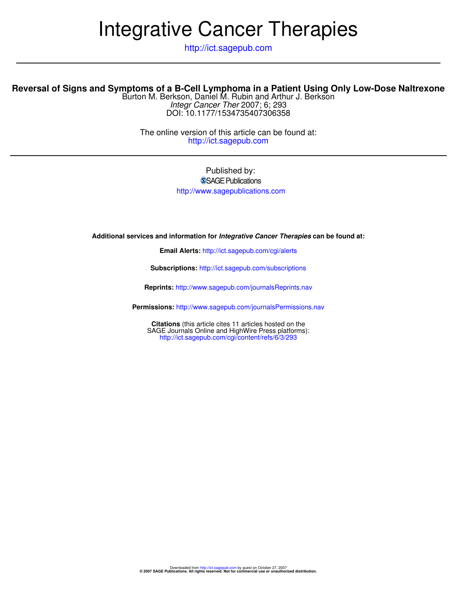# Integrative Cancer Therapies

http://ict.sagepub.com

# **Reversal of Signs and Symptoms of a B-Cell Lymphoma in a Patient Using Only Low-Dose Naltrexone**

DOI: 10.1177/1534735407306358 Integr Cancer Ther 2007; 6; 293 Burton M. Berkson, Daniel M. Rubin and Arthur J. Berkson

http://ict.sagepub.com The online version of this article can be found at:

> Published by: SSAGE Publications

http://www.sagepublications.com

**Additional services and information for Integrative Cancer Therapies can be found at:**

**Email Alerts:** http://ict.sagepub.com/cgi/alerts

**Subscriptions:** http://ict.sagepub.com/subscriptions

**Reprints:** http://www.sagepub.com/journalsReprints.nav

**Permissions:** http://www.sagepub.com/journalsPermissions.nav

http://ict.sagepub.com/cgi/content/refs/6/3/293 SAGE Journals Online and HighWire Press platforms): **Citations** (this article cites 11 articles hosted on the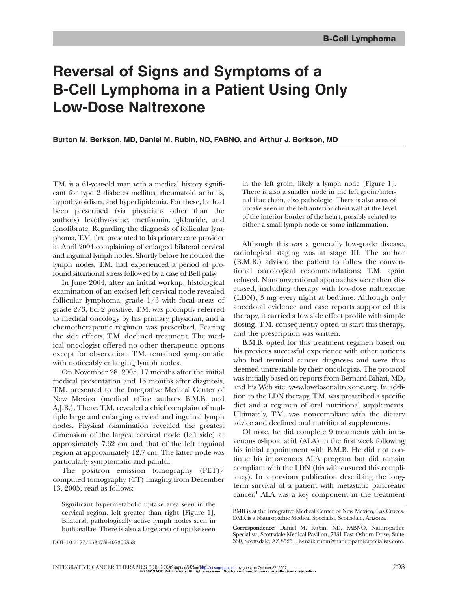# **Reversal of Signs and Symptoms of a B-Cell Lymphoma in a Patient Using Only Low-Dose Naltrexone**

#### **Burton M. Berkson, MD, Daniel M. Rubin, ND, FABNO, and Arthur J. Berkson, MD**

T.M. is a 61-year-old man with a medical history significant for type 2 diabetes mellitus, rheumatoid arthritis, hypothyroidism, and hyperlipidemia. For these, he had been prescribed (via physicians other than the authors) levothyroxine, metformin, glyburide, and fenofibrate. Regarding the diagnosis of follicular lymphoma, T.M. first presented to his primary care provider in April 2004 complaining of enlarged bilateral cervical and inguinal lymph nodes. Shortly before he noticed the lymph nodes, T.M. had experienced a period of profound situational stress followed by a case of Bell palsy.

In June 2004, after an initial workup, histological examination of an excised left cervical node revealed follicular lymphoma, grade 1/3 with focal areas of grade 2/3, bcl-2 positive. T.M. was promptly referred to medical oncology by his primary physician, and a chemotherapeutic regimen was prescribed. Fearing the side effects, T.M. declined treatment. The medical oncologist offered no other therapeutic options except for observation. T.M. remained symptomatic with noticeably enlarging lymph nodes.

On November 28, 2005, 17 months after the initial medical presentation and 15 months after diagnosis, T.M. presented to the Integrative Medical Center of New Mexico (medical office authors B.M.B. and A.J.B.). There, T.M. revealed a chief complaint of multiple large and enlarging cervical and inguinal lymph nodes. Physical examination revealed the greatest dimension of the largest cervical node (left side) at approximately 7.62 cm and that of the left inguinal region at approximately 12.7 cm. The latter node was particularly symptomatic and painful.

The positron emission tomography (PET)/ computed tomography (CT) imaging from December 13, 2005, read as follows:

Significant hypermetabolic uptake area seen in the cervical region, left greater than right [Figure 1]. Bilateral, pathologically active lymph nodes seen in both axillae. There is also a large area of uptake seen in the left groin, likely a lymph node [Figure 1]. There is also a smaller node in the left groin/internal iliac chain, also pathologic. There is also area of uptake seen in the left anterior chest wall at the level of the inferior border of the heart, possibly related to either a small lymph node or some inflammation.

Although this was a generally low-grade disease, radiological staging was at stage III. The author (B.M.B.) advised the patient to follow the conventional oncological recommendations; T.M. again refused. Nonconventional approaches were then discussed, including therapy with low-dose naltrexone (LDN), 3 mg every night at bedtime. Although only anecdotal evidence and case reports supported this therapy, it carried a low side effect profile with simple dosing. T.M. consequently opted to start this therapy, and the prescription was written.

B.M.B. opted for this treatment regimen based on his previous successful experience with other patients who had terminal cancer diagnoses and were thus deemed untreatable by their oncologists. The protocol was initially based on reports from Bernard Bihari, MD, and his Web site, www.lowdosenaltrexone.org. In addition to the LDN therapy, T.M. was prescribed a specific diet and a regimen of oral nutritional supplements. Ultimately, T.M. was noncompliant with the dietary advice and declined oral nutritional supplements.

Of note, he did complete 9 treatments with intravenous α-lipoic acid (ALA) in the first week following his initial appointment with B.M.B. He did not continue his intravenous ALA program but did remain compliant with the LDN (his wife ensured this compliancy). In a previous publication describing the longterm survival of a patient with metastatic pancreatic  $cancer<sup>1</sup> ALA was a key component in the treatment$ 

BMB is at the Integrative Medical Center of New Mexico, Las Cruces. DMR is a Naturopathic Medical Specialist, Scottsdale, Arizona.

**Correspondence:** Daniel M. Rubin, ND, FABNO, Naturopathic Specialists, Scottsdale Medical Pavilion, 7331 East Osborn Drive, Suite 330, Scottsdale, AZ 85251. E-mail: rubin@naturopathicspecialists.com.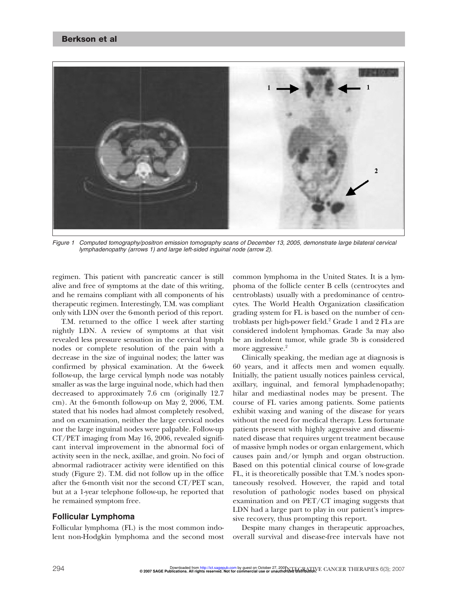## Berkson et al



Figure 1 Computed tomography/positron emission tomography scans of December 13, 2005, demonstrate large bilateral cervical lymphadenopathy (arrows 1) and large left-sided inguinal node (arrow 2).

regimen. This patient with pancreatic cancer is still alive and free of symptoms at the date of this writing, and he remains compliant with all components of his therapeutic regimen. Interestingly, T.M. was compliant only with LDN over the 6-month period of this report.

T.M. returned to the office 1 week after starting nightly LDN. A review of symptoms at that visit revealed less pressure sensation in the cervical lymph nodes or complete resolution of the pain with a decrease in the size of inguinal nodes; the latter was confirmed by physical examination. At the 6-week follow-up, the large cervical lymph node was notably smaller as was the large inguinal node, which had then decreased to approximately 7.6 cm (originally 12.7 cm). At the 6-month follow-up on May 2, 2006, T.M. stated that his nodes had almost completely resolved, and on examination, neither the large cervical nodes nor the large inguinal nodes were palpable. Follow-up CT/PET imaging from May 16, 2006, revealed significant interval improvement in the abnormal foci of activity seen in the neck, axillae, and groin. No foci of abnormal radiotracer activity were identified on this study (Figure 2). T.M. did not follow up in the office after the 6-month visit nor the second CT/PET scan, but at a 1-year telephone follow-up, he reported that he remained symptom free.

# **Follicular Lymphoma**

Follicular lymphoma (FL) is the most common indolent non-Hodgkin lymphoma and the second most

common lymphoma in the United States. It is a lymphoma of the follicle center B cells (centrocytes and centroblasts) usually with a predominance of centrocytes. The World Health Organization classification grading system for FL is based on the number of centroblasts per high-power field. $2$  Grade 1 and 2 FLs are considered indolent lymphomas. Grade 3a may also be an indolent tumor, while grade 3b is considered more aggressive.<sup>2</sup>

Clinically speaking, the median age at diagnosis is 60 years, and it affects men and women equally. Initially, the patient usually notices painless cervical, axillary, inguinal, and femoral lymphadenopathy; hilar and mediastinal nodes may be present. The course of FL varies among patients. Some patients exhibit waxing and waning of the disease for years without the need for medical therapy. Less fortunate patients present with highly aggressive and disseminated disease that requires urgent treatment because of massive lymph nodes or organ enlargement, which causes pain and/or lymph and organ obstruction. Based on this potential clinical course of low-grade FL, it is theoretically possible that T.M.'s nodes spontaneously resolved. However, the rapid and total resolution of pathologic nodes based on physical examination and on PET/CT imaging suggests that LDN had a large part to play in our patient's impressive recovery, thus prompting this report.

Despite many changes in therapeutic approaches, overall survival and disease-free intervals have not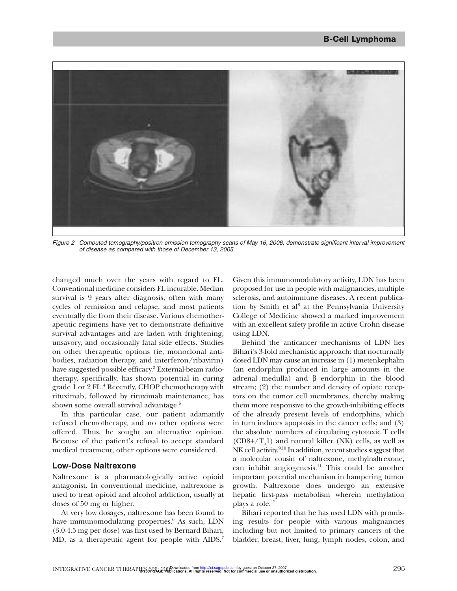

Figure 2 Computed tomography/positron emission tomography scans of May 16, 2006, demonstrate significant interval improvement of disease as compared with those of December 13, 2005.

changed much over the years with regard to FL. Conventional medicine considers FL incurable. Median survival is 9 years after diagnosis, often with many cycles of remission and relapse, and most patients eventually die from their disease. Various chemotherapeutic regimens have yet to demonstrate definitive survival advantages and are laden with frightening, unsavory, and occasionally fatal side effects. Studies on other therapeutic options (ie, monoclonal antibodies, radiation therapy, and interferon/ribavirin) have suggested possible efficacy.<sup>3</sup> External-beam radiotherapy, specifically, has shown potential in curing grade 1 or 2 FL.<sup>4</sup> Recently, CHOP chemotherapy with rituximab, followed by rituximab maintenance, has shown some overall survival advantage.<sup>5</sup>

In this particular case, our patient adamantly refused chemotherapy, and no other options were offered. Thus, he sought an alternative opinion. Because of the patient's refusal to accept standard medical treatment, other options were considered.

#### **Low-Dose Naltrexone**

Naltrexone is a pharmacologically active opioid antagonist. In conventional medicine, naltrexone is used to treat opioid and alcohol addiction, usually at doses of 50 mg or higher.

At very low dosages, naltrexone has been found to have immunomodulating properties.<sup>6</sup> As such, LDN (3.0-4.5 mg per dose) was first used by Bernard Bihari, MD, as a therapeutic agent for people with AIDS.<sup>7</sup> Given this immunomodulatory activity, LDN has been proposed for use in people with malignancies, multiple sclerosis, and autoimmune diseases. A recent publication by Smith et al<sup>8</sup> at the Pennsylvania University College of Medicine showed a marked improvement with an excellent safety profile in active Crohn disease using LDN.

Behind the anticancer mechanisms of LDN lies Bihari's 3-fold mechanistic approach: that nocturnally dosed LDN may cause an increase in (1) metenkephalin (an endorphin produced in large amounts in the adrenal medulla) and β endorphin in the blood stream; (2) the number and density of opiate receptors on the tumor cell membranes, thereby making them more responsive to the growth-inhibiting effects of the already present levels of endorphins, which in turn induces apoptosis in the cancer cells; and (3) the absolute numbers of circulating cytotoxic T cells  $(CD8+/T<sub>H</sub>1)$  and natural killer (NK) cells, as well as NK cell activity.<sup>9,10</sup> In addition, recent studies suggest that a molecular cousin of naltrexone, methylnaltrexone, can inhibit angiogenesis.<sup>11</sup> This could be another important potential mechanism in hampering tumor growth. Naltrexone does undergo an extensive hepatic first-pass metabolism wherein methylation plays a role.<sup>12</sup>

Bihari reported that he has used LDN with promising results for people with various malignancies including but not limited to primary cancers of the bladder, breast, liver, lung, lymph nodes, colon, and